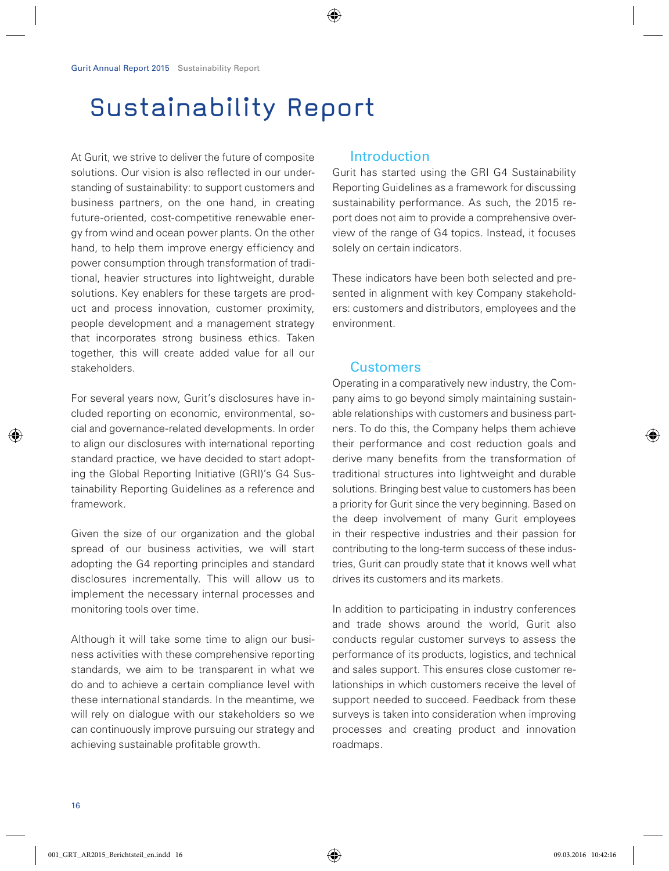# Sustainability Report

At Gurit, we strive to deliver the future of composite solutions. Our vision is also reflected in our understanding of sustainability: to support customers and business partners, on the one hand, in creating future-oriented, cost-competitive renewable energy from wind and ocean power plants. On the other hand, to help them improve energy efficiency and power consumption through transformation of traditional, heavier structures into lightweight, durable solutions. Key enablers for these targets are product and process innovation, customer proximity, people development and a management strategy that incorporates strong business ethics. Taken together, this will create added value for all our stakeholders.

For several years now, Gurit's disclosures have included reporting on economic, environmental, social and governance-related developments. In order to align our disclosures with international reporting standard practice, we have decided to start adopting the Global Reporting Initiative (GRI)'s G4 Sustainability Reporting Guidelines as a reference and framework.

Given the size of our organization and the global spread of our business activities, we will start adopting the G4 reporting principles and standard disclosures incrementally. This will allow us to implement the necessary internal processes and monitoring tools over time.

Although it will take some time to align our business activities with these comprehensive reporting standards, we aim to be transparent in what we do and to achieve a certain compliance level with these international standards. In the meantime, we will rely on dialogue with our stakeholders so we can continuously improve pursuing our strategy and achieving sustainable profitable growth.

## Introduction

Gurit has started using the GRI G4 Sustainability Reporting Guidelines as a framework for discussing sustainability performance. As such, the 2015 report does not aim to provide a comprehensive overview of the range of G4 topics. Instead, it focuses solely on certain indicators.

These indicators have been both selected and presented in alignment with key Company stakeholders: customers and distributors, employees and the environment.

## **Customers**

Operating in a comparatively new industry, the Company aims to go beyond simply maintaining sustainable relationships with customers and business partners. To do this, the Company helps them achieve their performance and cost reduction goals and derive many benefits from the transformation of traditional structures into lightweight and durable solutions. Bringing best value to customers has been a priority for Gurit since the very beginning. Based on the deep involvement of many Gurit employees in their respective industries and their passion for contributing to the long-term success of these industries, Gurit can proudly state that it knows well what drives its customers and its markets.

In addition to participating in industry conferences and trade shows around the world, Gurit also conducts regular customer surveys to assess the performance of its products, logistics, and technical and sales support. This ensures close customer relationships in which customers receive the level of support needed to succeed. Feedback from these surveys is taken into consideration when improving processes and creating product and innovation roadmaps.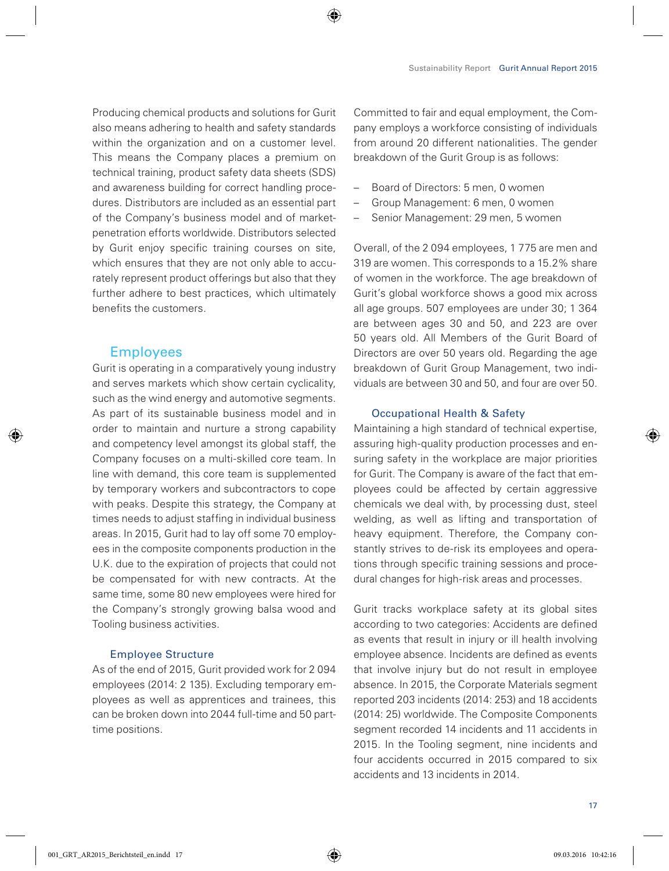Producing chemical products and solutions for Gurit also means adhering to health and safety standards within the organization and on a customer level. This means the Company places a premium on technical training, product safety data sheets (SDS) and awareness building for correct handling procedures. Distributors are included as an essential part of the Company's business model and of marketpenetration efforts worldwide. Distributors selected by Gurit enjoy specific training courses on site, which ensures that they are not only able to accurately represent product offerings but also that they further adhere to best practices, which ultimately benefits the customers.

# **Employees**

Gurit is operating in a comparatively young industry and serves markets which show certain cyclicality, such as the wind energy and automotive segments. As part of its sustainable business model and in order to maintain and nurture a strong capability and competency level amongst its global staff, the Company focuses on a multi-skilled core team. In line with demand, this core team is supplemented by temporary workers and subcontractors to cope with peaks. Despite this strategy, the Company at times needs to adjust staffing in individual business areas. In 2015, Gurit had to lay off some 70 employees in the composite components production in the U.K. due to the expiration of projects that could not be compensated for with new contracts. At the same time, some 80 new employees were hired for the Company's strongly growing balsa wood and Tooling business activities.

#### Employee Structure

As of the end of 2015, Gurit provided work for 2 094 employees (2014: 2 135). Excluding temporary employees as well as apprentices and trainees, this can be broken down into 2044 full-time and 50 parttime positions.

Committed to fair and equal employment, the Company employs a workforce consisting of individuals from around 20 different nationalities. The gender breakdown of the Gurit Group is as follows:

- Board of Directors: 5 men, 0 women
- Group Management: 6 men, 0 women
- Senior Management: 29 men, 5 women

Overall, of the 2 094 employees, 1 775 are men and 319 are women. This corresponds to a 15.2% share of women in the workforce. The age breakdown of Gurit's global workforce shows a good mix across all age groups. 507 employees are under 30; 1 364 are between ages 30 and 50, and 223 are over 50 years old. All Members of the Gurit Board of Directors are over 50 years old. Regarding the age breakdown of Gurit Group Management, two individuals are between 30 and 50, and four are over 50.

#### Occupational Health & Safety

Maintaining a high standard of technical expertise, assuring high-quality production processes and ensuring safety in the workplace are major priorities for Gurit. The Company is aware of the fact that employees could be affected by certain aggressive chemicals we deal with, by processing dust, steel welding, as well as lifting and transportation of heavy equipment. Therefore, the Company constantly strives to de-risk its employees and operations through specific training sessions and procedural changes for high-risk areas and processes.

Gurit tracks workplace safety at its global sites according to two categories: Accidents are defined as events that result in injury or ill health involving employee absence. Incidents are defined as events that involve injury but do not result in employee absence. In 2015, the Corporate Materials segment reported 203 incidents (2014: 253) and 18 accidents (2014: 25) worldwide. The Composite Components segment recorded 14 incidents and 11 accidents in 2015. In the Tooling segment, nine incidents and four accidents occurred in 2015 compared to six accidents and 13 incidents in 2014.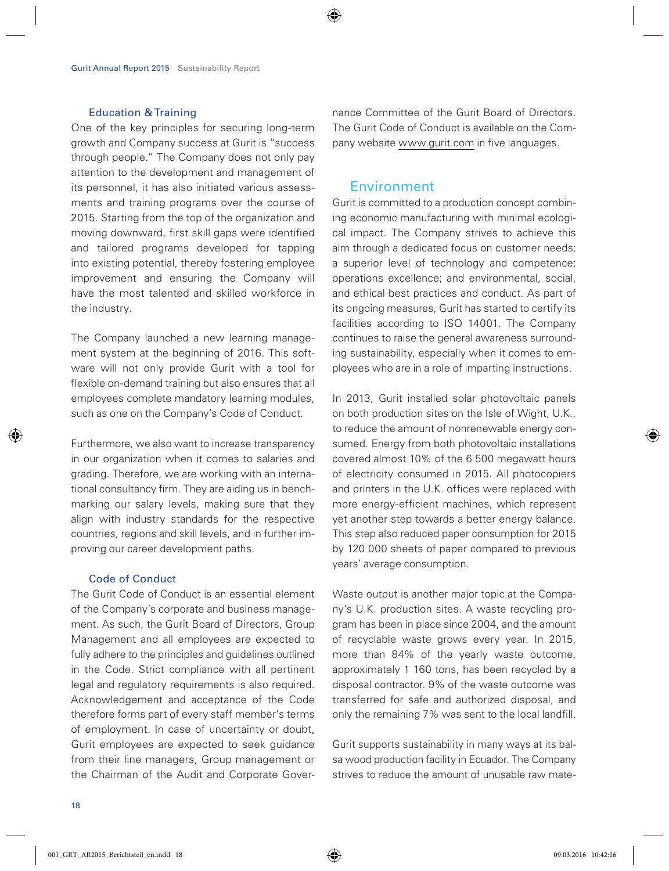#### Education & Training

One of the key principles for securing long-term growth and Company success at Gurit is "success through people." The Company does not only pay attention to the development and management of its personnel, it has also initiated various assessments and training programs over the course of 2015. Starting from the top of the organization and moving downward, first skill gaps were identified and tailored programs developed for tapping into existing potential, thereby fostering employee improvement and ensuring the Company will have the most talented and skilled workforce in the industry.

The Company launched a new learning management system at the beginning of 2016. This software will not only provide Gurit with a tool for flexible on-demand training but also ensures that all employees complete mandatory learning modules, such as one on the Company's Code of Conduct.

Furthermore, we also want to increase transparency in our organization when it comes to salaries and grading. Therefore, we are working with an international consultancy firm. They are aiding us in benchmarking our salary levels, making sure that they align with industry standards for the respective countries, regions and skill levels, and in further improving our career development paths.

#### Code of Conduct

The Gurit Code of Conduct is an essential element of the Company's corporate and business management. As such, the Gurit Board of Directors, Group Management and all employees are expected to fully adhere to the principles and guidelines outlined in the Code. Strict compliance with all pertinent legal and regulatory requirements is also required. Acknowledgement and acceptance of the Code therefore forms part of every staff member's terms of employment. In case of uncertainty or doubt, Gurit employees are expected to seek guidance from their line managers, Group management or the Chairman of the Audit and Corporate Governance Committee of the Gurit Board of Directors. The Gurit Code of Conduct is available on the Company website www.gurit.com in five languages.

### Environment

Gurit is committed to a production concept combining economic manufacturing with minimal ecological impact. The Company strives to achieve this aim through a dedicated focus on customer needs; a superior level of technology and competence; operations excellence; and environmental, social, and ethical best practices and conduct. As part of its ongoing measures, Gurit has started to certify its facilities according to ISO 14001. The Company continues to raise the general awareness surrounding sustainability, especially when it comes to employees who are in a role of imparting instructions.

In 2013, Gurit installed solar photovoltaic panels on both production sites on the Isle of Wight, U.K., to reduce the amount of nonrenewable energy consumed. Energy from both photovoltaic installations covered almost 10% of the 6 500 megawatt hours of electricity consumed in 2015. All photocopiers and printers in the U.K. offices were replaced with more energy-efficient machines, which represent yet another step towards a better energy balance. This step also reduced paper consumption for 2015 by 120 000 sheets of paper compared to previous years' average consumption.

Waste output is another major topic at the Company's U.K. production sites. A waste recycling program has been in place since 2004, and the amount of recyclable waste grows every year. In 2015, more than 84% of the yearly waste outcome, approximately 1 160 tons, has been recycled by a disposal contractor. 9% of the waste outcome was transferred for safe and authorized disposal, and only the remaining 7% was sent to the local landfill.

Gurit supports sustainability in many ways at its balsa wood production facility in Ecuador. The Company strives to reduce the amount of unusable raw mate-